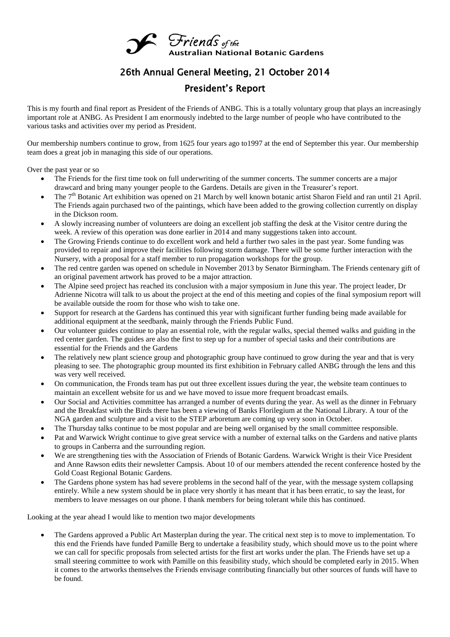

## 26th Annual General Meeting, 21 October 2014

## President's Report

This is my fourth and final report as President of the Friends of ANBG. This is a totally voluntary group that plays an increasingly important role at ANBG. As President I am enormously indebted to the large number of people who have contributed to the various tasks and activities over my period as President.

Our membership numbers continue to grow, from 1625 four years ago to1997 at the end of September this year. Our membership team does a great job in managing this side of our operations.

Over the past year or so

- The Friends for the first time took on full underwriting of the summer concerts. The summer concerts are a major drawcard and bring many younger people to the Gardens. Details are given in the Treasurer's report.
- The 7<sup>th</sup> Botanic Art exhibition was opened on 21 March by well known botanic artist Sharon Field and ran until 21 April. The Friends again purchased two of the paintings, which have been added to the growing collection currently on display in the Dickson room.
- A slowly increasing number of volunteers are doing an excellent job staffing the desk at the Visitor centre during the week. A review of this operation was done earlier in 2014 and many suggestions taken into account.
- The Growing Friends continue to do excellent work and held a further two sales in the past year. Some funding was provided to repair and improve their facilities following storm damage. There will be some further interaction with the Nursery, with a proposal for a staff member to run propagation workshops for the group.
- The red centre garden was opened on schedule in November 2013 by Senator Birmingham. The Friends centenary gift of an original pavement artwork has proved to be a major attraction.
- The Alpine seed project has reached its conclusion with a major symposium in June this year. The project leader, Dr Adrienne Nicotra will talk to us about the project at the end of this meeting and copies of the final symposium report will be available outside the room for those who wish to take one.
- Support for research at the Gardens has continued this year with significant further funding being made available for additional equipment at the seedbank, mainly through the Friends Public Fund.
- Our volunteer guides continue to play an essential role, with the regular walks, special themed walks and guiding in the red center garden. The guides are also the first to step up for a number of special tasks and their contributions are essential for the Friends and the Gardens
- The relatively new plant science group and photographic group have continued to grow during the year and that is very pleasing to see. The photographic group mounted its first exhibition in February called ANBG through the lens and this was very well received.
- On communication, the Fronds team has put out three excellent issues during the year, the website team continues to maintain an excellent website for us and we have moved to issue more frequent broadcast emails.
- Our Social and Activities committee has arranged a number of events during the year. As well as the dinner in February and the Breakfast with the Birds there has been a viewing of Banks Florilegium at the National Library. A tour of the NGA garden and sculpture and a visit to the STEP arboretum are coming up very soon in October.
- The Thursday talks continue to be most popular and are being well organised by the small committee responsible.
- Pat and Warwick Wright continue to give great service with a number of external talks on the Gardens and native plants to groups in Canberra and the surrounding region.
- We are strengthening ties with the Association of Friends of Botanic Gardens. Warwick Wright is their Vice President and Anne Rawson edits their newsletter Campsis. About 10 of our members attended the recent conference hosted by the Gold Coast Regional Botanic Gardens.
- The Gardens phone system has had severe problems in the second half of the year, with the message system collapsing entirely. While a new system should be in place very shortly it has meant that it has been erratic, to say the least, for members to leave messages on our phone. I thank members for being tolerant while this has continued.

Looking at the year ahead I would like to mention two major developments

 The Gardens approved a Public Art Masterplan during the year. The critical next step is to move to implementation. To this end the Friends have funded Pamille Berg to undertake a feasibility study, which should move us to the point where we can call for specific proposals from selected artists for the first art works under the plan. The Friends have set up a small steering committee to work with Pamille on this feasibility study, which should be completed early in 2015. When it comes to the artworks themselves the Friends envisage contributing financially but other sources of funds will have to be found.